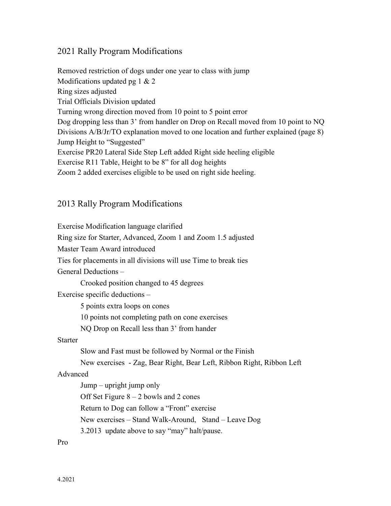## 2021 Rally Program Modifications

Removed restriction of dogs under one year to class with jump Modifications updated pg 1 & 2 Ring sizes adjusted Trial Officials Division updated Turning wrong direction moved from 10 point to 5 point error Dog dropping less than 3' from handler on Drop on Recall moved from 10 point to NQ Divisions A/B/Jr/TO explanation moved to one location and further explained (page 8) Jump Height to "Suggested" Exercise PR20 Lateral Side Step Left added Right side heeling eligible Exercise R11 Table, Height to be 8" for all dog heights Zoom 2 added exercises eligible to be used on right side heeling.

## 2013 Rally Program Modifications

Exercise Modification language clarified Ring size for Starter, Advanced, Zoom 1 and Zoom 1.5 adjusted Master Team Award introduced Ties for placements in all divisions will use Time to break ties General Deductions – Crooked position changed to 45 degrees Exercise specific deductions – 5 points extra loops on cones 10 points not completing path on cone exercises NQ Drop on Recall less than 3' from hander Starter Slow and Fast must be followed by Normal or the Finish New exercises - Zag, Bear Right, Bear Left, Ribbon Right, Ribbon Left Advanced Jump – upright jump only Off Set Figure  $8 - 2$  bowls and 2 cones Return to Dog can follow a "Front" exercise New exercises – Stand Walk-Around, Stand – Leave Dog 3.2013 update above to say "may" halt/pause. Pro